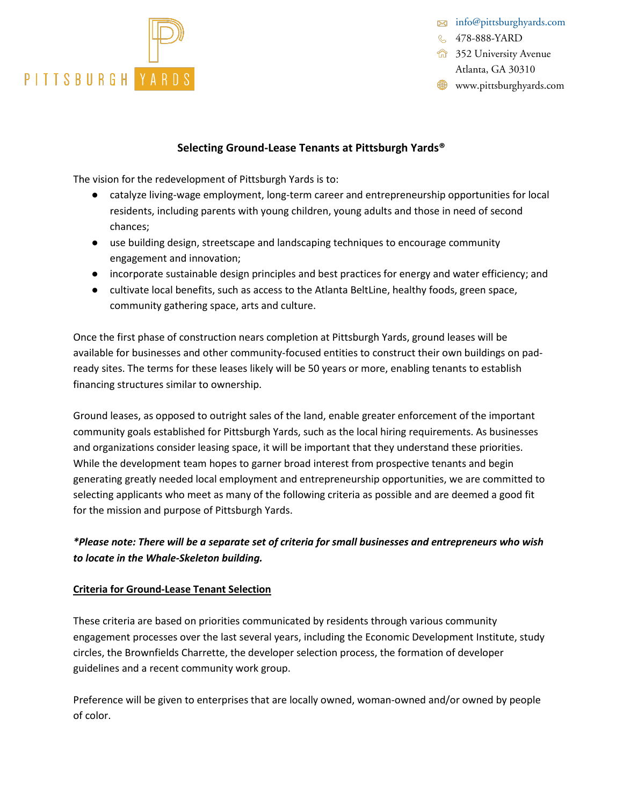

[info@pittsburghyards.com](mailto:info@pittsburghyards.com)

& 478-888-YARD

**1352 University Avenue** Atlanta, GA 30310

**WWW.pittsburghyards.com** 

#### **Selecting Ground-Lease Tenants at Pittsburgh Yards®**

The vision for the redevelopment of Pittsburgh Yards is to:

- catalyze living-wage employment, long-term career and entrepreneurship opportunities for local residents, including parents with young children, young adults and those in need of second chances;
- use building design, streetscape and landscaping techniques to encourage community engagement and innovation;
- incorporate sustainable design principles and best practices for energy and water efficiency; and
- cultivate local benefits, such as access to the Atlanta BeltLine, healthy foods, green space, community gathering space, arts and culture.

Once the first phase of construction nears completion at Pittsburgh Yards, ground leases will be available for businesses and other community-focused entities to construct their own buildings on padready sites. The terms for these leases likely will be 50 years or more, enabling tenants to establish financing structures similar to ownership.

Ground leases, as opposed to outright sales of the land, enable greater enforcement of the important community goals established for Pittsburgh Yards, such as the local hiring requirements. As businesses and organizations consider leasing space, it will be important that they understand these priorities. While the development team hopes to garner broad interest from prospective tenants and begin generating greatly needed local employment and entrepreneurship opportunities, we are committed to selecting applicants who meet as many of the following criteria as possible and are deemed a good fit for the mission and purpose of Pittsburgh Yards.

### *\*Please note: There will be a separate set of criteria for small businesses and entrepreneurs who wish to locate in the Whale-Skeleton building.*

#### **Criteria for Ground-Lease Tenant Selection**

These criteria are based on priorities communicated by residents through various community engagement processes over the last several years, including the Economic Development Institute, study circles, the Brownfields Charrette, the developer selection process, the formation of developer guidelines and a recent community work group.

Preference will be given to enterprises that are locally owned, woman-owned and/or owned by people of color.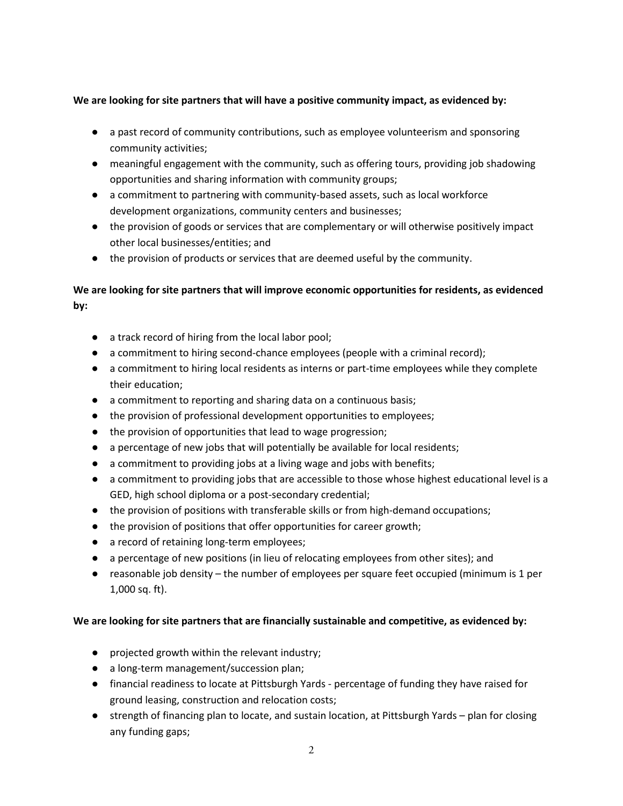### **We are looking for site partners that will have a positive community impact, as evidenced by:**

- a past record of community contributions, such as employee volunteerism and sponsoring community activities;
- meaningful engagement with the community, such as offering tours, providing job shadowing opportunities and sharing information with community groups;
- a commitment to partnering with community-based assets, such as local workforce development organizations, community centers and businesses;
- the provision of goods or services that are complementary or will otherwise positively impact other local businesses/entities; and
- the provision of products or services that are deemed useful by the community.

# **We are looking for site partners that will improve economic opportunities for residents, as evidenced by:**

- a track record of hiring from the local labor pool;
- a commitment to hiring second-chance employees (people with a criminal record);
- a commitment to hiring local residents as interns or part-time employees while they complete their education;
- a commitment to reporting and sharing data on a continuous basis;
- the provision of professional development opportunities to employees;
- the provision of opportunities that lead to wage progression;
- a percentage of new jobs that will potentially be available for local residents;
- a commitment to providing jobs at a living wage and jobs with benefits;
- a commitment to providing jobs that are accessible to those whose highest educational level is a GED, high school diploma or a post-secondary credential;
- the provision of positions with transferable skills or from high-demand occupations;
- the provision of positions that offer opportunities for career growth;
- a record of retaining long-term employees;
- a percentage of new positions (in lieu of relocating employees from other sites); and
- reasonable job density the number of employees per square feet occupied (minimum is 1 per 1,000 sq. ft).

### **We are looking for site partners that are financially sustainable and competitive, as evidenced by:**

- projected growth within the relevant industry;
- a long-term management/succession plan;
- financial readiness to locate at Pittsburgh Yards percentage of funding they have raised for ground leasing, construction and relocation costs;
- strength of financing plan to locate, and sustain location, at Pittsburgh Yards plan for closing any funding gaps;